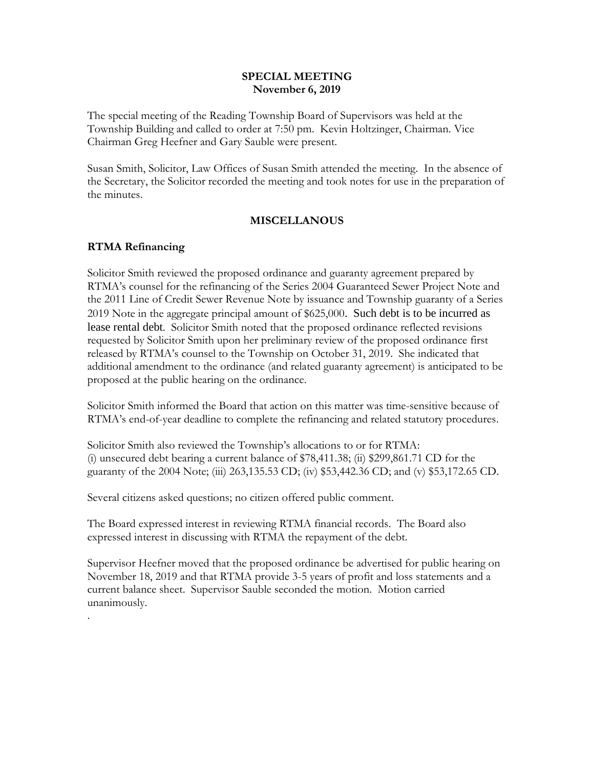#### **SPECIAL MEETING November 6, 2019**

The special meeting of the Reading Township Board of Supervisors was held at the Township Building and called to order at 7:50 pm. Kevin Holtzinger, Chairman. Vice Chairman Greg Heefner and Gary Sauble were present.

Susan Smith, Solicitor, Law Offices of Susan Smith attended the meeting. In the absence of the Secretary, the Solicitor recorded the meeting and took notes for use in the preparation of the minutes.

### **MISCELLANOUS**

### **RTMA Refinancing**

.

Solicitor Smith reviewed the proposed ordinance and guaranty agreement prepared by RTMA's counsel for the refinancing of the Series 2004 Guaranteed Sewer Project Note and the 2011 Line of Credit Sewer Revenue Note by issuance and Township guaranty of a Series 2019 Note in the aggregate principal amount of \$625,000. Such debt is to be incurred as lease rental debt. Solicitor Smith noted that the proposed ordinance reflected revisions requested by Solicitor Smith upon her preliminary review of the proposed ordinance first released by RTMA's counsel to the Township on October 31, 2019. She indicated that additional amendment to the ordinance (and related guaranty agreement) is anticipated to be proposed at the public hearing on the ordinance.

Solicitor Smith informed the Board that action on this matter was time-sensitive because of RTMA's end-of-year deadline to complete the refinancing and related statutory procedures.

Solicitor Smith also reviewed the Township's allocations to or for RTMA: (i) unsecured debt bearing a current balance of \$78,411.38; (ii) \$299,861.71 CD for the guaranty of the 2004 Note; (iii) 263,135.53 CD; (iv) \$53,442.36 CD; and (v) \$53,172.65 CD.

Several citizens asked questions; no citizen offered public comment.

The Board expressed interest in reviewing RTMA financial records. The Board also expressed interest in discussing with RTMA the repayment of the debt.

Supervisor Heefner moved that the proposed ordinance be advertised for public hearing on November 18, 2019 and that RTMA provide 3-5 years of profit and loss statements and a current balance sheet. Supervisor Sauble seconded the motion. Motion carried unanimously.